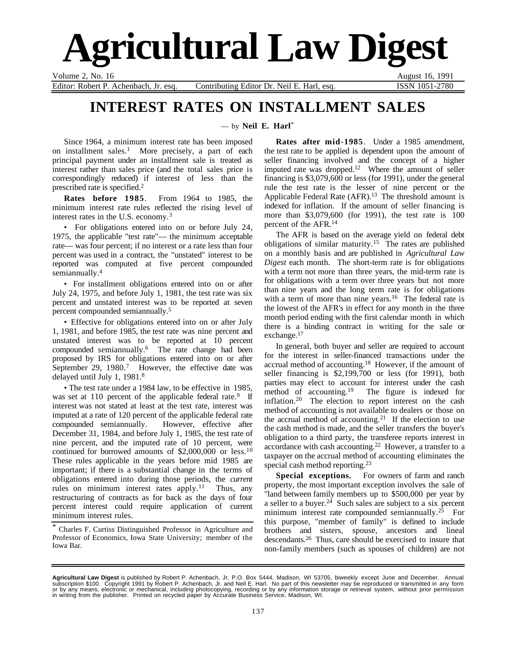

Volume 2, No. 16 August 16, 1991

Editor: Robert P. Achenbach, Jr. esq. Contributing Editor Dr. Neil E. Harl, esq. **ISSN 1051-2780** 

## **INTEREST RATES ON INSTALLMENT SALES**

— by **Neil E. Harl**\*

Since 1964, a minimum interest rate has been imposed on installment sales.<sup>1</sup> More precisely, a part of each principal payment under an installment sale is treated as interest rather than sales price (and the total sales price is correspondingly reduced) if interest of less than the prescribed rate is specified.2

**Rates before 1985**. From 1964 to 1985, the minimum interest rate rules reflected the rising level of interest rates in the U.S. economy.3

• For obligations entered into on or before July 24, 1975, the applicable "test rate"— the minimum acceptable rate— was four percent; if no interest or a rate less than four percent was used in a contract, the "unstated" interest to be reported was computed at five percent compounded semiannually.<sup>4</sup>

• For installment obligations entered into on or after July 24, 1975, and before July 1, 1981, the test rate was six percent and unstated interest was to be reported at seven percent compounded semiannually.5

• Effective for obligations entered into on or after July 1, 1981, and before 1985, the test rate was nine percent and unstated interest was to be reported at 10 percent compounded semiannually.6 The rate change had been proposed by IRS for obligations entered into on or after September 29,  $1980$ .<sup>7</sup> However, the effective date was delayed until July 1, 1981.8

• The test rate under a 1984 law, to be effective in 1985, was set at 110 percent of the applicable federal rate.<sup>9</sup> If interest was not stated at least at the test rate, interest was imputed at a rate of 120 percent of the applicable federal rate compounded semiannually. However, effective after December 31, 1984, and before July 1, 1985, the test rate of nine percent, and the imputed rate of 10 percent, were continued for borrowed amounts of \$2,000,000 or less.10 These rules applicable in the years before mid 1985 are important; if there is a substantial change in the terms of obligations entered into during those periods, the *current* rules on minimum interest rates apply.<sup>11</sup> Thus, any restructuring of contracts as for back as the days of four percent interest could require application of current minimum interest rules.

\* Charles F. Curtiss Distinguished Professor in Agriculture and Professor of Economics, Iowa State University; member of the Iowa Bar.

**Rates after mid-1985**. Under a 1985 amendment, the test rate to be applied is dependent upon the amount of seller financing involved and the concept of a higher imputed rate was dropped.12 Where the amount of seller financing is \$3,079,600 or less (for 1991), under the general rule the test rate is the lesser of nine percent or the Applicable Federal Rate (AFR).<sup>13</sup> The threshold amount is indexed for inflation. If the amount of seller financing is more than \$3,079,600 (for 1991), the test rate is 100 percent of the AFR.14

The AFR is based on the average yield on federal debt obligations of similar maturity.15 The rates are published on a monthly basis and are published in *Agricultural Law Digest* each month. The short-term rate is for obligations with a term not more than three years, the mid-term rate is for obligations with a term over three years but not more than nine years and the long term rate is for obligations with a term of more than nine years.<sup>16</sup> The federal rate is the lowest of the AFR's in effect for any month in the three month period ending with the first calendar month in which there is a binding contract in writing for the sale or exchange.<sup>17</sup>

In general, both buyer and seller are required to account for the interest in seller-financed transactions under the accrual method of accounting.18 However, if the amount of seller financing is \$2,199,700 or less (for 1991), both parties may elect to account for interest under the cash<br>method of accounting.<sup>19</sup> The figure is indexed for The figure is indexed for inflation.20 The election to report interest on the cash method of accounting is not available to dealers or those on the accrual method of accounting.<sup>21</sup> If the election to use the cash method is made, and the seller transfers the buyer's obligation to a third party, the transferee reports interest in accordance with cash accounting.22 However, a transfer to a taxpayer on the accrual method of accounting eliminates the special cash method reporting.<sup>23</sup>

**Special exceptions.** For owners of farm and ranch property, the most important exception involves the sale of "land between family members up to \$500,000 per year by a seller to a buyer.<sup>24</sup> Such sales are subject to a six percent minimum interest rate compounded semiannually.<sup>25</sup> For this purpose, "member of family" is defined to include brothers and sisters, spouse, ancestors and lineal descendants.26 Thus, care should be exercised to insure that non-family members (such as spouses of children) are not

**Agricultural Law Digest** is published by Robert P. Achenbach, Jr, P.O. Box 5444, Madison, WI 53705, biweekly except June and December. Annual<br>subscription \$100. Copyright 1991 by Robert P. Achenbach, Jr. and Neil E. Harl. in writing from the publisher. Printed on recycled paper by Accurate Business Service, Madison, WI.